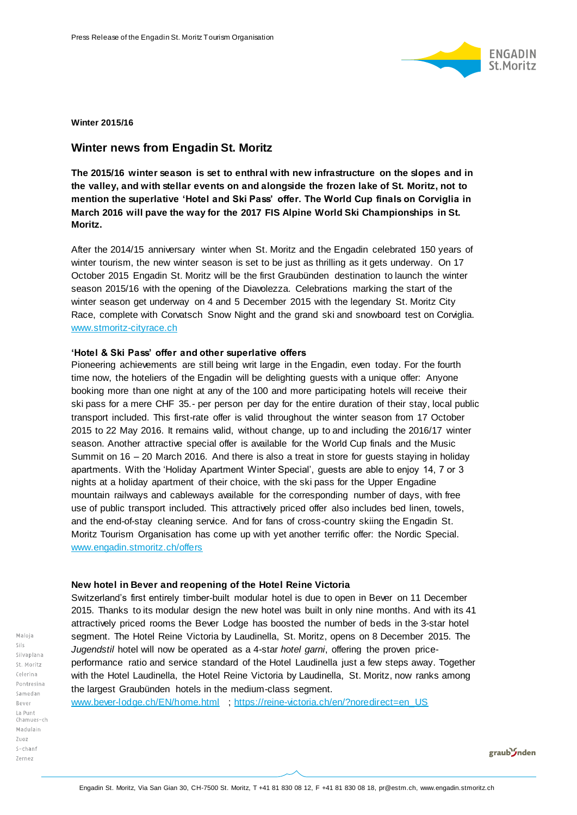

**Winter 2015/16**

# **Winter news from Engadin St. Moritz**

**The 2015/16 winter season is set to enthral with new infrastructure on the slopes and in the valley, and with stellar events on and alongside the frozen lake of St. Moritz, not to mention the superlative 'Hotel and Ski Pass' offer. The World Cup finals on Corviglia in March 2016 will pave the way for the 2017 FIS Alpine World Ski Championships in St. Moritz.**

After the 2014/15 anniversary winter when St. Moritz and the Engadin celebrated 150 years of winter tourism, the new winter season is set to be just as thrilling as it gets underway. On 17 October 2015 Engadin St. Moritz will be the first Graubünden destination to launch the winter season 2015/16 with the opening of the Diavolezza. Celebrations marking the start of the winter season get underway on 4 and 5 December 2015 with the legendary St. Moritz City Race, complete with Corvatsch Snow Night and the grand ski and snowboard test on Corviglia. [www.stmoritz-cityrace.ch](http://www.stmoritz-cityrace.ch/)

### **'Hotel & Ski Pass' offer and other superlative offers**

Pioneering achievements are still being writ large in the Engadin, even today. For the fourth time now, the hoteliers of the Engadin will be delighting guests with a unique offer: Anyone booking more than one night at any of the 100 and more participating hotels will receive their ski pass for a mere CHF 35.- per person per day for the entire duration of their stay, local public transport included. This first-rate offer is valid throughout the winter season from 17 October 2015 to 22 May 2016. It remains valid, without change, up to and including the 2016/17 winter season. Another attractive special offer is available for the World Cup finals and the Music Summit on 16 – 20 March 2016. And there is also a treat in store for guests staying in holiday apartments. With the 'Holiday Apartment Winter Special', guests are able to enjoy 14, 7 or 3 nights at a holiday apartment of their choice, with the ski pass for the Upper Engadine mountain railways and cableways available for the corresponding number of days, with free use of public transport included. This attractively priced offer also includes bed linen, towels, and the end-of-stay cleaning service. And for fans of cross-country skiing the Engadin St. Moritz Tourism Organisation has come up with yet another terrific offer: the Nordic Special. [www.engadin.stmoritz.ch/offers](http://www.engadin.stmoritz.ch/offers)

## **New hotel in Bever and reopening of the Hotel Reine Victoria**

Switzerland's first entirely timber-built modular hotel is due to open in Bever on 11 December 2015. Thanks to its modular design the new hotel was built in only nine months. And with its 41 attractively priced rooms the Bever Lodge has boosted the number of beds in the 3-star hotel segment. The Hotel Reine Victoria by Laudinella, St. Moritz, opens on 8 December 2015. The *Jugendstil* hotel will now be operated as a 4-star *hotel garni*, offering the proven priceperformance ratio and service standard of the Hotel Laudinella just a few steps away. Together with the Hotel Laudinella, the Hotel Reine Victoria by Laudinella, St. Moritz, now ranks among the largest Graubünden hotels in the medium-class segment.

[www.bever-lodge.ch/EN/home.html](http://www.bever-lodge.ch/EN/home.html) ; [https://reine-victoria.ch/en/?noredirect=en\\_US](https://reine-victoria.ch/en/?noredirect=en_US)

graub Inden

Maloja  $\frac{1}{2}$ Silvaplana St. Moritz Celerina Pontresina Samedan Bever La Punt Chamues-ch Madulain Zuoz  $S$ -chanf Zernez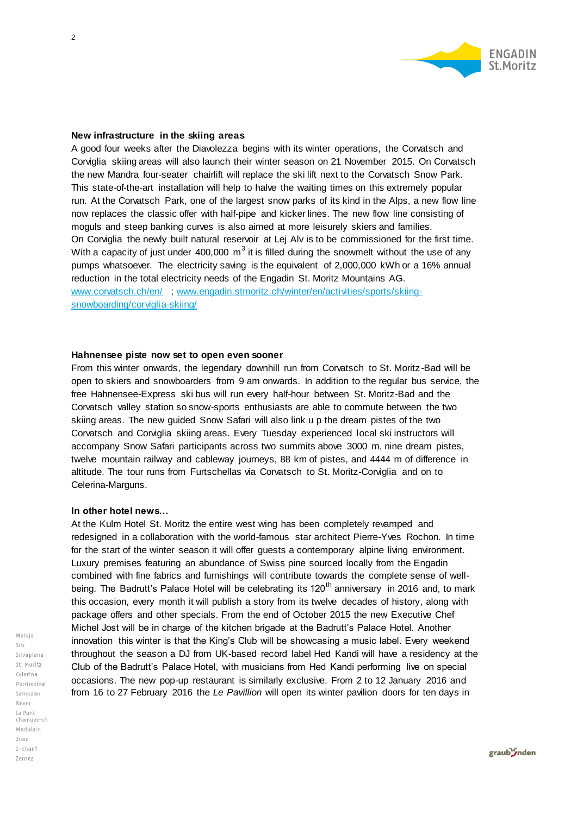

## **New infrastructure in the skiing areas**

A good four weeks after the Diavolezza begins with its winter operations, the Corvatsch and Corviglia skiing areas will also launch their winter season on 21 November 2015. On Corvatsch the new Mandra four-seater chairlift will replace the ski lift next to the Corvatsch Snow Park. This state-of-the-art installation will help to halve the waiting times on this extremely popular run. At the Corvatsch Park, one of the largest snow parks of its kind in the Alps, a new flow line now replaces the classic offer with half-pipe and kicker lines. The new flow line consisting of moguls and steep banking curves is also aimed at more leisurely skiers and families. On Corviglia the newly built natural reservoir at Lej Alv is to be commissioned for the first time. With a capacity of just under 400,000 m<sup>3</sup> it is filled during the snowmelt without the use of any pumps whatsoever. The electricity saving is the equivalent of 2,000,000 kWh or a 16% annual reduction in the total electricity needs of the Engadin St. Moritz Mountains AG. [www.corvatsch.ch/en/](http://www.corvatsch.ch/en/); [www.engadin.stmoritz.ch/winter/en/activities/sports/skiing](http://www.engadin.stmoritz.ch/winter/en/activities/sports/skiing-snowboarding/corviglia-skiing/)[snowboarding/corviglia-skiing/](http://www.engadin.stmoritz.ch/winter/en/activities/sports/skiing-snowboarding/corviglia-skiing/)

#### **Hahnensee piste now set to open even sooner**

From this winter onwards, the legendary downhill run from Corvatsch to St. Moritz-Bad will be open to skiers and snowboarders from 9 am onwards. In addition to the regular bus service, the free Hahnensee-Express ski bus will run every half-hour between St. Moritz-Bad and the Corvatsch valley station so snow-sports enthusiasts are able to commute between the two skiing areas. The new guided Snow Safari will also link u p the dream pistes of the two Corvatsch and Corviglia skiing areas. Every Tuesday experienced local ski instructors will accompany Snow Safari participants across two summits above 3000 m, nine dream pistes, twelve mountain railway and cableway journeys, 88 km of pistes, and 4444 m of difference in altitude. The tour runs from Furtschellas via Corvatsch to St. Moritz-Corviglia and on to Celerina-Marguns.

### **In other hotel news…**

At the Kulm Hotel St. Moritz the entire west wing has been completely revamped and redesigned in a collaboration with the world-famous star architect Pierre-Yves Rochon. In time for the start of the winter season it will offer guests a contemporary alpine living environment. Luxury premises featuring an abundance of Swiss pine sourced locally from the Engadin combined with fine fabrics and furnishings will contribute towards the complete sense of wellbeing. The Badrutt's Palace Hotel will be celebrating its 120<sup>th</sup> anniversary in 2016 and, to mark this occasion, every month it will publish a story from its twelve decades of history, along with package offers and other specials. From the end of October 2015 the new Executive Chef Michel Jost will be in charge of the kitchen brigade at the Badrutt's Palace Hotel. Another innovation this winter is that the King's Club will be showcasing a music label. Every weekend throughout the season a DJ from UK-based record label Hed Kandi will have a residency at the Club of the Badrutt's Palace Hotel, with musicians from Hed Kandi performing live on special occasions. The new pop-up restaurant is similarly exclusive. From 2 to 12 January 2016 and from 16 to 27 February 2016 the *Le Pavillion* will open its winter pavilion doors for ten days in

graub *I*nden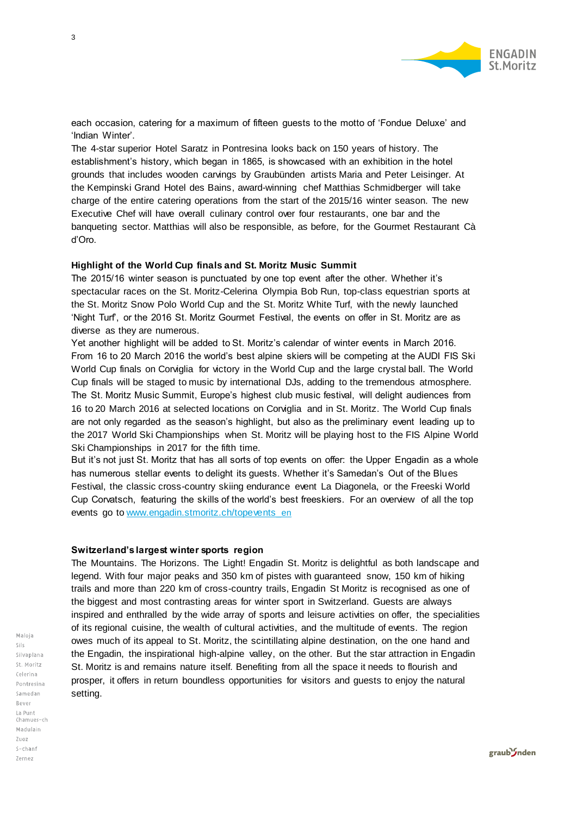

each occasion, catering for a maximum of fifteen guests to the motto of 'Fondue Deluxe' and 'Indian Winter'.

The 4-star superior Hotel Saratz in Pontresina looks back on 150 years of history. The establishment's history, which began in 1865, is showcased with an exhibition in the hotel grounds that includes wooden carvings by Graubünden artists Maria and Peter Leisinger. At the Kempinski Grand Hotel des Bains, award-winning chef Matthias Schmidberger will take charge of the entire catering operations from the start of the 2015/16 winter season. The new Executive Chef will have overall culinary control over four restaurants, one bar and the banqueting sector. Matthias will also be responsible, as before, for the Gourmet Restaurant Cà d'Oro.

### **Highlight of the World Cup finals and St. Moritz Music Summit**

The 2015/16 winter season is punctuated by one top event after the other. Whether it's spectacular races on the St. Moritz-Celerina Olympia Bob Run, top-class equestrian sports at the St. Moritz Snow Polo World Cup and the St. Moritz White Turf, with the newly launched 'Night Turf', or the 2016 St. Moritz Gourmet Festival, the events on offer in St. Moritz are as diverse as they are numerous.

Yet another highlight will be added to St. Moritz's calendar of winter events in March 2016. From 16 to 20 March 2016 the world's best alpine skiers will be competing at the AUDI FIS Ski World Cup finals on Corviglia for victory in the World Cup and the large crystal ball. The World Cup finals will be staged to music by international DJs, adding to the tremendous atmosphere. The St. Moritz Music Summit, Europe's highest club music festival, will delight audiences from 16 to 20 March 2016 at selected locations on Corviglia and in St. Moritz. The World Cup finals are not only regarded as the season's highlight, but also as the preliminary event leading up to the 2017 World Ski Championships when St. Moritz will be playing host to the FIS Alpine World Ski Championships in 2017 for the fifth time.

But it's not just St. Moritz that has all sorts of top events on offer: the Upper Engadin as a whole has numerous stellar events to delight its guests. Whether it's Samedan's Out of the Blues Festival, the classic cross-country skiing endurance event La Diagonela, or the Freeski World Cup Corvatsch, featuring the skills of the world's best freeskiers. For an overview of all the top events go to [www.engadin.stmoritz.ch/topevents](http://www.engadin.stmoritz.ch/topevents_en)\_en

### **Switzerland's largest winter sports region**

The Mountains. The Horizons. The Light! Engadin St. Moritz is delightful as both landscape and legend. With four major peaks and 350 km of pistes with guaranteed snow, 150 km of hiking trails and more than 220 km of cross-country trails, Engadin St Moritz is recognised as one of the biggest and most contrasting areas for winter sport in Switzerland. Guests are always inspired and enthralled by the wide array of sports and leisure activities on offer, the specialities of its regional cuisine, the wealth of cultural activities, and the multitude of events. The region owes much of its appeal to St. Moritz, the scintillating alpine destination, on the one hand and the Engadin, the inspirational high-alpine valley, on the other. But the star attraction in Engadin St. Moritz is and remains nature itself. Benefiting from all the space it needs to flourish and prosper, it offers in return boundless opportunities for visitors and guests to enjoy the natural setting.

graub *I*nden